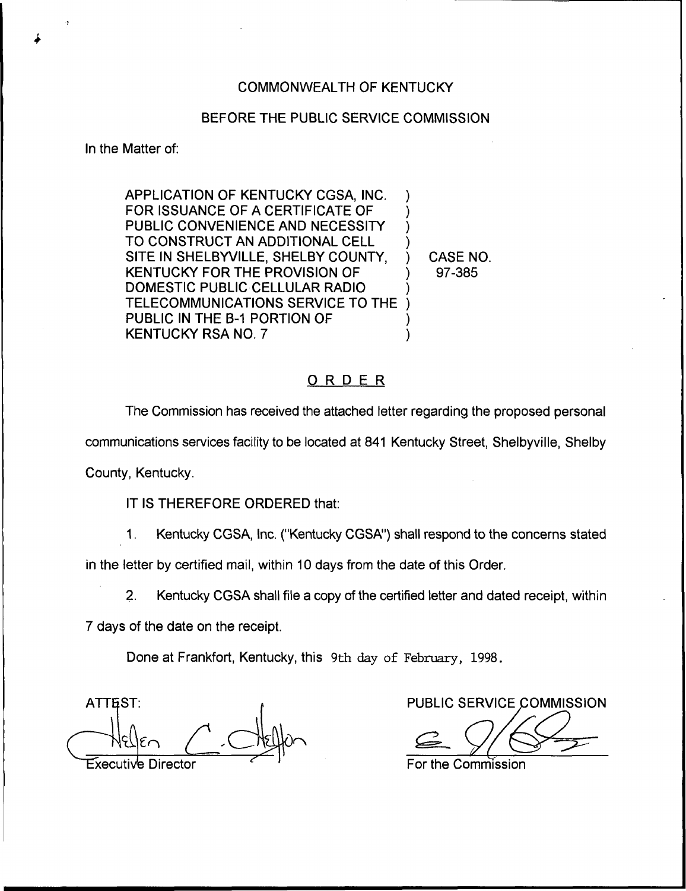## COMMONWEALTH OF KENTUCKY

## BEFORE THE PUBLIC SERVICE COMMISSION

In the Matter of:

APPLICATION OF KENTUCKY CGSA, INC. FOR ISSUANCE OF A CERTIFICATE OF PUBLIC CONVENIENCE AND NECESSITY TO CONSTRUCT AN ADDITIONAL CELL SITE IN SHELBYVILLE, SHELBY COUNTY, KENTUCKY FOR THE PROVISION OF DOMESTIC PUBLIC CELLULAR RADIO TELECOMMUNICATIONS SERVICE TO THE PUBLIC IN THE B-1 PORTION OF KENTUCKY RSA NO. 7 ) ) ) ) ) ) ) )

) CASE NO. ) 97-385

## ORDER

The Commission has received the attached letter regarding the proposed personal communications services facility to be located at 841 Kentucky Street, Shelbyville, Shelby

County, Kentucky.

IT IS THEREFORE ORDERED that:

1. Kentucky CGSA, Inc. ("Kentucky CGSA") shall respond to the concerns stated

in the letter by certified mail, within 10 days from the date of this Order.

2. Kentucky CGSA shall file a copy of the certified letter and dated receipt, within

7 days of the date on the receipt.

Done at Frankfort, Kentucky, this 9th day of February, 1998.

ATTEST: Director

PUBLIC SERVICE COMMISSION

For the Commission